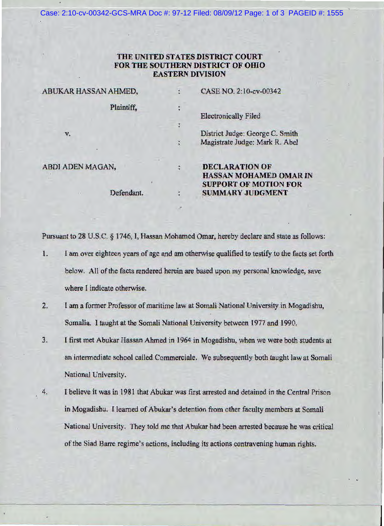Case: 2:10-cv-00342-GCS-MRA Doc #: 97-12 Filed: 08/09/12 Page: 1 of 3 PAGEID #: 1555

## THE UNITED STATES DISTRICT COURT FOR THE SOUTHERN DISTRICT OF OHIO EASTERN DIVISION

| ABUKAR HASSAN AHMED, |                      | CASE NO. 2:10-cv-00342          |
|----------------------|----------------------|---------------------------------|
| Plaintiff,           |                      | <b>Electronically Filed</b>     |
|                      |                      |                                 |
| v.                   |                      | District Judge: George C. Smith |
|                      | $\frac{1}{\sqrt{2}}$ | Magistrate Judge: Mark R. Abel  |
| ABDI ADEN MAGAN,     | $\ddot{\phantom{0}}$ | <b>DECLARATION OF</b>           |
|                      |                      | <b>HASSAN MOHAMED OMAR IN</b>   |
|                      |                      | <b>SUPPORT OF MOTION FOR</b>    |
| Defendant.<br>V.     | 医黄                   | <b>SUMMARY JUDGMENT</b>         |
|                      |                      |                                 |

Pursuant to 28 U.S.C. § 1746, I, Hassan Mohamed Omar, hereby declare and state as follows:

- 1. I am over eighteen years of age and am otherwise qualified to testify to the facts set forth below. All of the facts rendered herein are based upon my personal knowledge, save where I indicate otherwise.
- 2. I am a former Professor of maritime law at Somali National University in Mogadishu, Somalia. I taught at the Somali National University between 1977 and 1990.
- 3. I first met Abukar Hassan Ahmed in 1964 in Mogadishu, when we were both students at an intermediate school called Commerciale. We subsequently both taught law at Somali National University.
- 4. I helieve it was in 1981 that Abukar was first arrested and detained in the Central Prison in. Mogadishu. I learned of Abukar's detention from other faculty members at Somali National University. They told me that Abukar had been arrested because he was critical of the Siad Barre regime's actions, including its actions contravening human rights.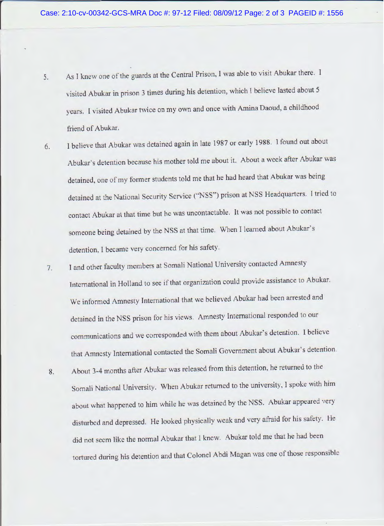- 5. As I knew one of the guards at the Central Prison, I was able to visit Abukar there. I visited Abukar in prison 3 times during his detention, which I believe lasted about 5 years. I visited Abukar twice on my own and once with Amina Daoud, a childhood friend of Abukar.
- 6. 1 believe that Abukar was detained again in late 1987 or early 1988. I found out about Abukar's detention because his mother told me about it. About a week after Abukar was detained, one of my former students told me that he had heard that Abukar was being detained at the National Security Service ('"NSS") prison at NSS Headquarters. f tried to contact Abukar at that time but he was uncontactable. It was not possible to contact someone being detained by the NSS at that time. When I learned about Abukar's detention, I became very concerned for his safety.
- 7. I and other faculty members at Somali National University contacted Amnesty International in Holland to see if that organization could provide assistance to Abukar. We informed Amnesty International that we believed Abukar had been arrested and detained in the NSS prison for his views. Amnesty International responded to our communications and we corresponded with them about Abukar's detention. I believe that Amnesty International contacted the Somali Government about Abukar's detention.
- 8. About 3-4 months after Abukar was released from this detention, he returned to the Somali National University. When Abukar returned to the university, I spoke with him about what happened to him while he was detained by the NSS. Abukar appeared very disturbed and depressed. He looked physically weak and very afraid for his safety. He did not seem like the normal Abukar that I knew. Abukar told me that he had been tortured during his detention and that Colonel Abdi Magan was one of those responsible